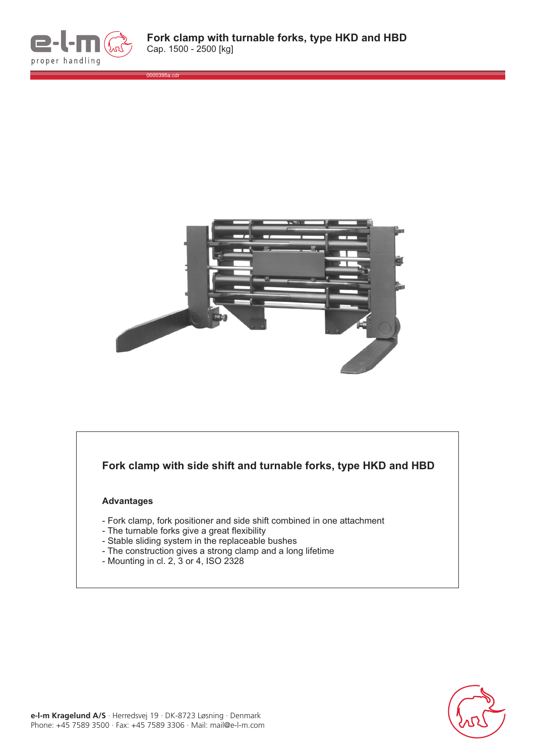

0000395a.cdr



## **Fork clamp with side shift and turnable forks, type HKD and HBD**

## **Advantages**

- Fork clamp, fork positioner and side shift combined in one attachment
- The turnable forks give a great flexibility
- Stable sliding system in the replaceable bushes
- The construction gives a strong clamp and a long lifetime
- Mounting in cl. 2, 3 or 4, ISO 2328